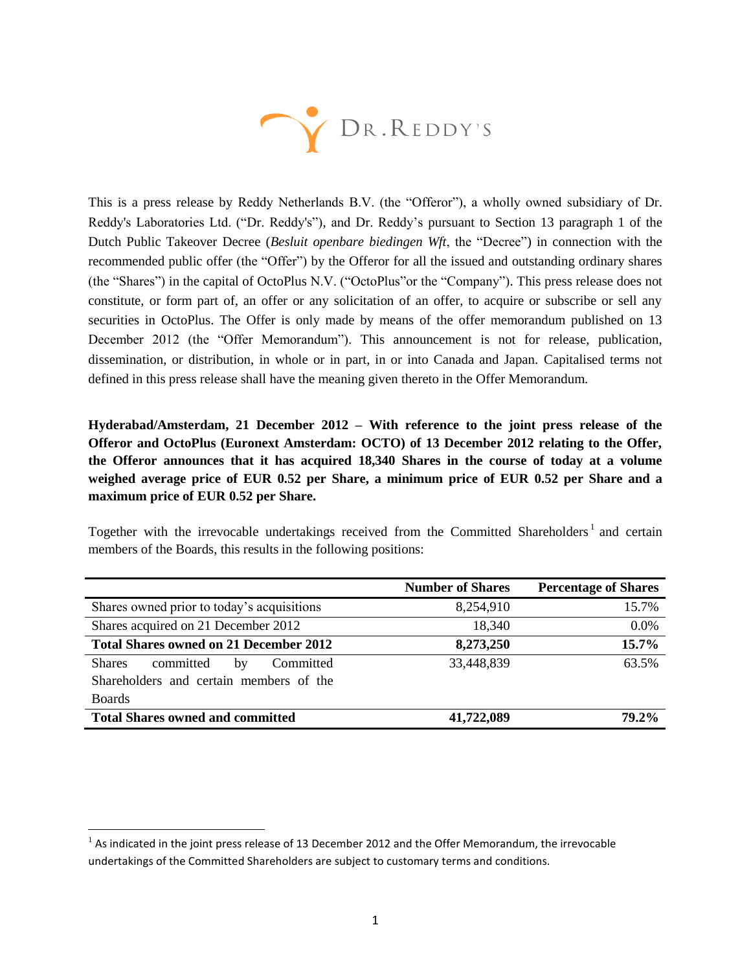

This is a press release by Reddy Netherlands B.V. (the "Offeror"), a wholly owned subsidiary of Dr. Reddy's Laboratories Ltd. ("Dr. Reddy's"), and Dr. Reddy's pursuant to Section 13 paragraph 1 of the Dutch Public Takeover Decree (*Besluit openbare biedingen Wft*, the "Decree") in connection with the recommended public offer (the "Offer") by the Offeror for all the issued and outstanding ordinary shares (the "Shares") in the capital of OctoPlus N.V. ("OctoPlus"or the "Company"). This press release does not constitute, or form part of, an offer or any solicitation of an offer, to acquire or subscribe or sell any securities in OctoPlus. The Offer is only made by means of the offer memorandum published on 13 December 2012 (the "Offer Memorandum"). This announcement is not for release, publication, dissemination, or distribution, in whole or in part, in or into Canada and Japan. Capitalised terms not defined in this press release shall have the meaning given thereto in the Offer Memorandum.

**Hyderabad/Amsterdam, 21 December 2012 – With reference to the joint press release of the Offeror and OctoPlus (Euronext Amsterdam: OCTO) of 13 December 2012 relating to the Offer, the Offeror announces that it has acquired 18,340 Shares in the course of today at a volume weighed average price of EUR 0.52 per Share, a minimum price of EUR 0.52 per Share and a maximum price of EUR 0.52 per Share.**

Together with the irrevocable undertakings received from the Committed Shareholders<sup>1</sup> and certain members of the Boards, this results in the following positions:

|                                               | <b>Number of Shares</b> | <b>Percentage of Shares</b> |
|-----------------------------------------------|-------------------------|-----------------------------|
| Shares owned prior to today's acquisitions    | 8,254,910               | 15.7%                       |
| Shares acquired on 21 December 2012           | 18,340                  | $0.0\%$                     |
| <b>Total Shares owned on 21 December 2012</b> | 8,273,250               | 15.7%                       |
| committed<br><b>Shares</b><br>Committed<br>by | 33,448,839              | 63.5%                       |
| Shareholders and certain members of the       |                         |                             |
| <b>Boards</b>                                 |                         |                             |
| <b>Total Shares owned and committed</b>       | 41,722,089              | 79.2%                       |

 $\overline{\phantom{a}}$ 

 $<sup>1</sup>$  As indicated in the joint press release of 13 December 2012 and the Offer Memorandum, the irrevocable</sup> undertakings of the Committed Shareholders are subject to customary terms and conditions.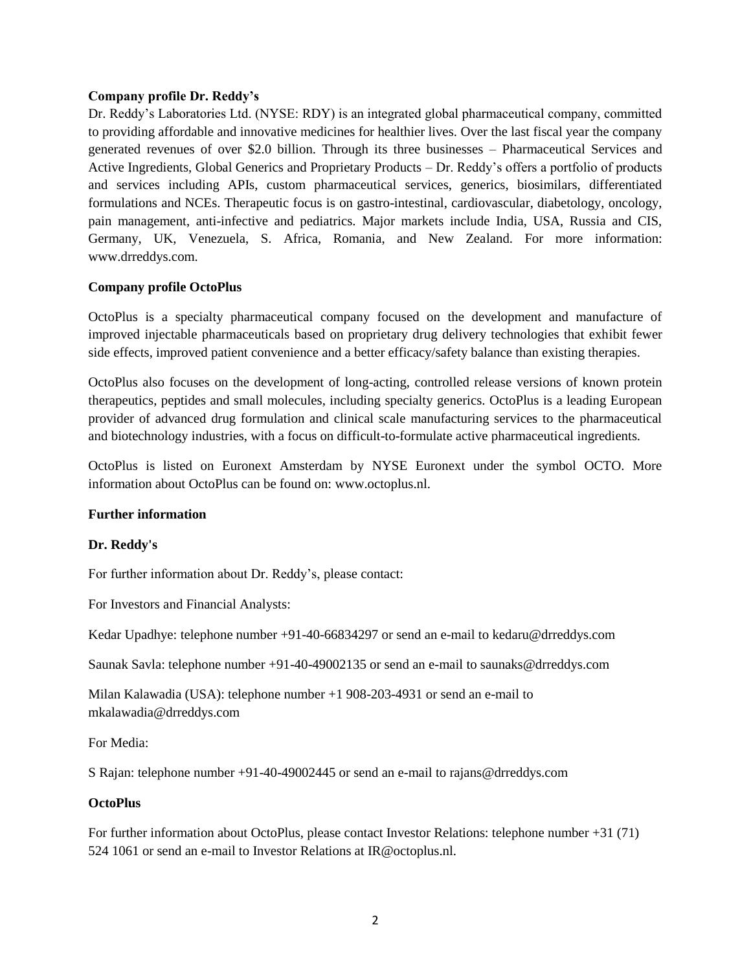### **Company profile Dr. Reddy's**

Dr. Reddy's Laboratories Ltd. (NYSE: RDY) is an integrated global pharmaceutical company, committed to providing affordable and innovative medicines for healthier lives. Over the last fiscal year the company generated revenues of over \$2.0 billion. Through its three businesses – Pharmaceutical Services and Active Ingredients, Global Generics and Proprietary Products – Dr. Reddy's offers a portfolio of products and services including APIs, custom pharmaceutical services, generics, biosimilars, differentiated formulations and NCEs. Therapeutic focus is on gastro-intestinal, cardiovascular, diabetology, oncology, pain management, anti-infective and pediatrics. Major markets include India, USA, Russia and CIS, Germany, UK, Venezuela, S. Africa, Romania, and New Zealand. For more information: www.drreddys.com.

## **Company profile OctoPlus**

OctoPlus is a specialty pharmaceutical company focused on the development and manufacture of improved injectable pharmaceuticals based on proprietary drug delivery technologies that exhibit fewer side effects, improved patient convenience and a better efficacy/safety balance than existing therapies.

OctoPlus also focuses on the development of long-acting, controlled release versions of known protein therapeutics, peptides and small molecules, including specialty generics. OctoPlus is a leading European provider of advanced drug formulation and clinical scale manufacturing services to the pharmaceutical and biotechnology industries, with a focus on difficult-to-formulate active pharmaceutical ingredients.

OctoPlus is listed on Euronext Amsterdam by NYSE Euronext under the symbol OCTO. More information about OctoPlus can be found on: www.octoplus.nl.

#### **Further information**

#### **Dr. Reddy's**

For further information about Dr. Reddy's, please contact:

For Investors and Financial Analysts:

Kedar Upadhye: telephone number +91-40-66834297 or send an e-mail to [kedaru@drreddys.com](mailto:kedaru@drreddys.com)

Saunak Savla: telephone number +91-40-49002135 or send an e-mail t[o saunaks@drreddys.com](mailto:saunaks@drreddys.com)

Milan Kalawadia (USA): telephone number +1 908-203-4931 or send an e-mail to [mkalawadia@drreddys.com](mailto:mkalawadia@drreddys.com)

For Media:

S Rajan: telephone number +91-40-49002445 or send an e-mail t[o rajans@drreddys.com](mailto:rajans@drreddys.com)

## **OctoPlus**

For further information about OctoPlus, please contact Investor Relations: telephone number +31 (71) 524 1061 or send an e-mail to Investor Relations at IR@octoplus.nl.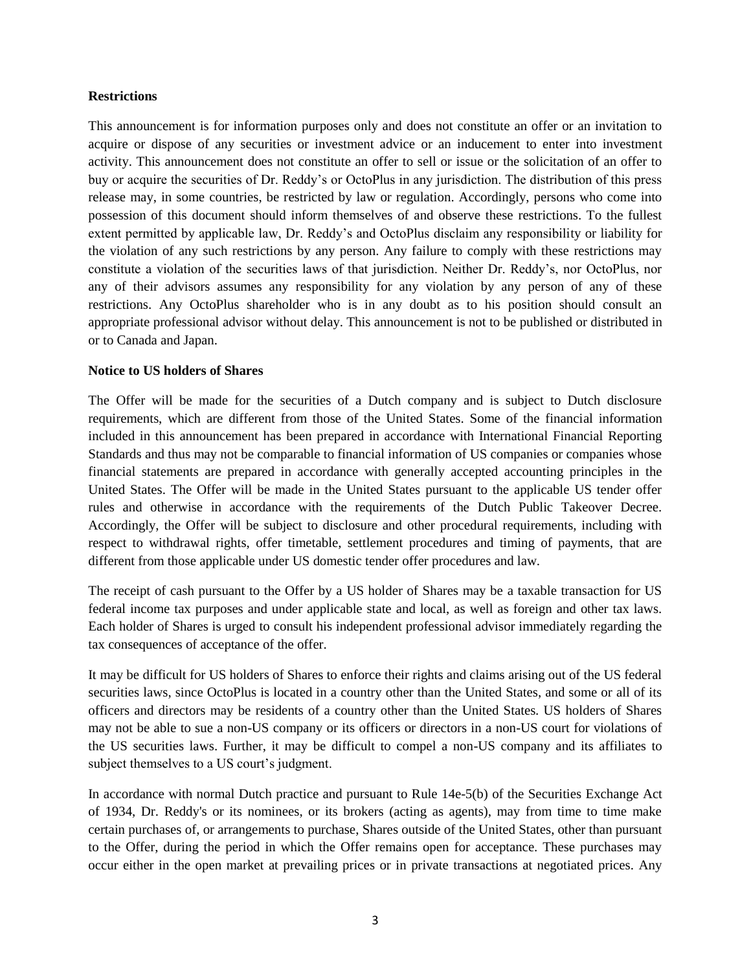#### **Restrictions**

This announcement is for information purposes only and does not constitute an offer or an invitation to acquire or dispose of any securities or investment advice or an inducement to enter into investment activity. This announcement does not constitute an offer to sell or issue or the solicitation of an offer to buy or acquire the securities of Dr. Reddy's or OctoPlus in any jurisdiction. The distribution of this press release may, in some countries, be restricted by law or regulation. Accordingly, persons who come into possession of this document should inform themselves of and observe these restrictions. To the fullest extent permitted by applicable law, Dr. Reddy's and OctoPlus disclaim any responsibility or liability for the violation of any such restrictions by any person. Any failure to comply with these restrictions may constitute a violation of the securities laws of that jurisdiction. Neither Dr. Reddy's, nor OctoPlus, nor any of their advisors assumes any responsibility for any violation by any person of any of these restrictions. Any OctoPlus shareholder who is in any doubt as to his position should consult an appropriate professional advisor without delay. This announcement is not to be published or distributed in or to Canada and Japan.

## **Notice to US holders of Shares**

The Offer will be made for the securities of a Dutch company and is subject to Dutch disclosure requirements, which are different from those of the United States. Some of the financial information included in this announcement has been prepared in accordance with International Financial Reporting Standards and thus may not be comparable to financial information of US companies or companies whose financial statements are prepared in accordance with generally accepted accounting principles in the United States. The Offer will be made in the United States pursuant to the applicable US tender offer rules and otherwise in accordance with the requirements of the Dutch Public Takeover Decree. Accordingly, the Offer will be subject to disclosure and other procedural requirements, including with respect to withdrawal rights, offer timetable, settlement procedures and timing of payments, that are different from those applicable under US domestic tender offer procedures and law.

The receipt of cash pursuant to the Offer by a US holder of Shares may be a taxable transaction for US federal income tax purposes and under applicable state and local, as well as foreign and other tax laws. Each holder of Shares is urged to consult his independent professional advisor immediately regarding the tax consequences of acceptance of the offer.

It may be difficult for US holders of Shares to enforce their rights and claims arising out of the US federal securities laws, since OctoPlus is located in a country other than the United States, and some or all of its officers and directors may be residents of a country other than the United States. US holders of Shares may not be able to sue a non-US company or its officers or directors in a non-US court for violations of the US securities laws. Further, it may be difficult to compel a non-US company and its affiliates to subject themselves to a US court's judgment.

In accordance with normal Dutch practice and pursuant to Rule 14e-5(b) of the Securities Exchange Act of 1934, Dr. Reddy's or its nominees, or its brokers (acting as agents), may from time to time make certain purchases of, or arrangements to purchase, Shares outside of the United States, other than pursuant to the Offer, during the period in which the Offer remains open for acceptance. These purchases may occur either in the open market at prevailing prices or in private transactions at negotiated prices. Any